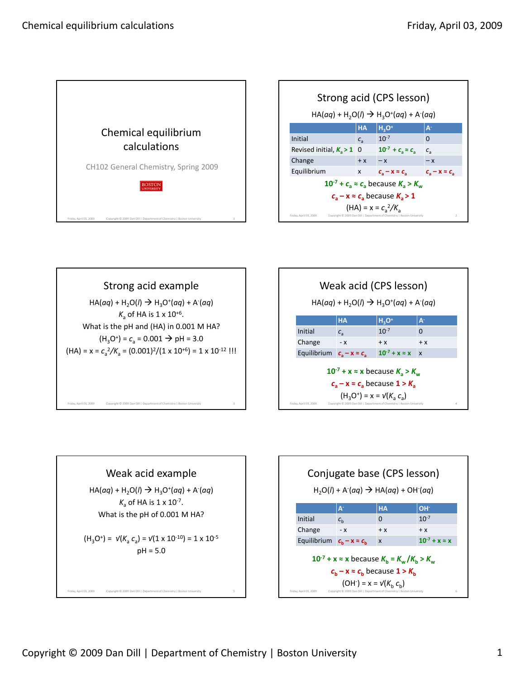

| Strong acid (CPS lesson)                                                                                            |                            |                                                                   |                               |
|---------------------------------------------------------------------------------------------------------------------|----------------------------|-------------------------------------------------------------------|-------------------------------|
| $HA(aq) + H_2O(l) \rightarrow H_3O^+(aq) + A(aq)$                                                                   |                            |                                                                   |                               |
|                                                                                                                     | <b>HA</b>                  | $H_3O^+$                                                          | $A^2$                         |
| Initial                                                                                                             | $c_{\scriptscriptstyle 2}$ | $10^{-7}$                                                         | $\Omega$                      |
| Revised initial, $K_a > 1$                                                                                          | 0                          | $10^{-7} + c_{\rm s} \approx c_{\rm s}$                           | $c_{\scriptscriptstyle 2}$    |
| Change                                                                                                              | $+ x$                      | $-\chi$                                                           | $-\chi$                       |
| Equilibrium                                                                                                         | X                          | $c_{\scriptscriptstyle{2}} - x \approx c_{\scriptscriptstyle{2}}$ | $c_{\rm s}$ – x = $c_{\rm s}$ |
| $10^{-7}$ + $c_{\rm a} \approx c_{\rm a}$ because $K_{\rm a} > K_{\rm w}$                                           |                            |                                                                   |                               |
| $c_a - x \approx c_a$ because $K_a > 1$                                                                             |                            |                                                                   |                               |
| $(HA) = x = C_a^2/K_a$                                                                                              |                            |                                                                   |                               |
| Copyright @ 2009 Dan Dill   Department of Chemistry   Boston University<br>$\overline{2}$<br>Friday, April 03, 2009 |                            |                                                                   |                               |







Friday, April 03, 2009 Copyright © 2009 Dan Dill | Department of Chemistry | Boston University 5

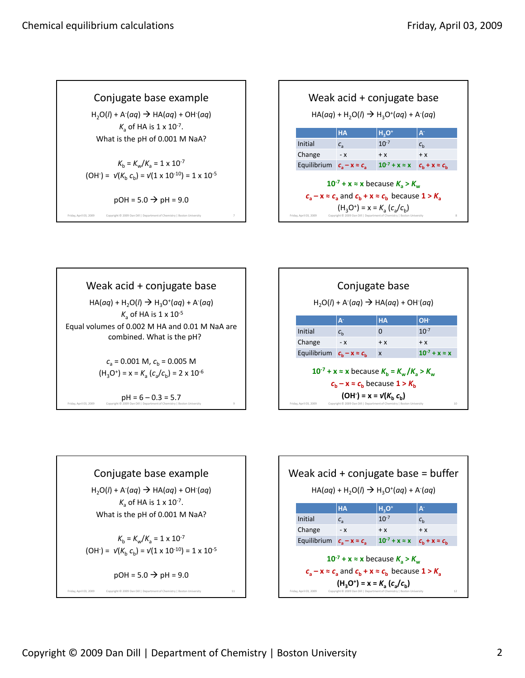Conjugate base example

H2O(*l*) + A‐ (*aq*) HA(*aq*) + OH‐ (*aq*)  $K_a$  of HA is  $1 \times 10^{-7}$ . What is the pH of 0.001 M NaA?

$$
K_{\rm b} = K_{\rm w}/K_{\rm a} = 1 \times 10^{-7}
$$
  
(OH<sup>2</sup>) =  $\sqrt{(K_{\rm b} C_{\rm b})} = \sqrt{(1 \times 10^{-10})} = 1 \times 10^{-5}$ 

 $pOH = 5.0 \rightarrow pH = 9.0$ Friday, April 03, 2009 Copyright © 2009 Dan Dill | Department of Chemistry | Boston University 7

| Weak acid + conjugate base<br>$HA(aq) + H_2O(l) \rightarrow H_3O^+(aq) + A(aq)$                                                                                                                                                                                             |             |                         |                       |
|-----------------------------------------------------------------------------------------------------------------------------------------------------------------------------------------------------------------------------------------------------------------------------|-------------|-------------------------|-----------------------|
|                                                                                                                                                                                                                                                                             | <b>HA</b>   | $H_3O^+$                | $\mathbf{A}$          |
| Initial                                                                                                                                                                                                                                                                     | $c_{\rm a}$ | $10^{-7}$               | $c_{h}$               |
| Change                                                                                                                                                                                                                                                                      | $- x$       | $+ x$                   | $+ x$                 |
| Equilibrium $c_2 - x \approx c_2$                                                                                                                                                                                                                                           |             | $10^{-7} + x \approx x$ | $C_h + X \approx C_h$ |
| $10^{-7}$ + x = x because $K_a > K_w$<br>$c_a - x \approx c_a$ and $c_b + x \approx c_b$ because $1 > K_a$<br>$(H_3O^+)$ = x = $K_a$ $(c_a/c_b)$<br>Copyright @ 2009 Dan Dill   Department of Chemistry   Boston University<br>$\mathbf{\hat{z}}$<br>Friday, April 03, 2009 |             |                         |                       |

Weak acid + conjugate base  $HA(aq) + H_2O(l) \rightarrow H_3O^+(aq) + A(aq)$  $K_a$  of HA is  $1 \times 10^{-5}$ Equal volumes of 0.002 M HA and 0.01 M NaA are combined. What is the pH?  $c_a = 0.001$  M,  $c_b = 0.005$  M  $(H_3O^+) = x = K_a (c_a/c_b) = 2 \times 10^{-6}$  $pH = 6 - 0.3 = 5.7$  Friday, April 03, 2009 Copyright © 2009 Dan Dill | Department of Chemistry | Bos





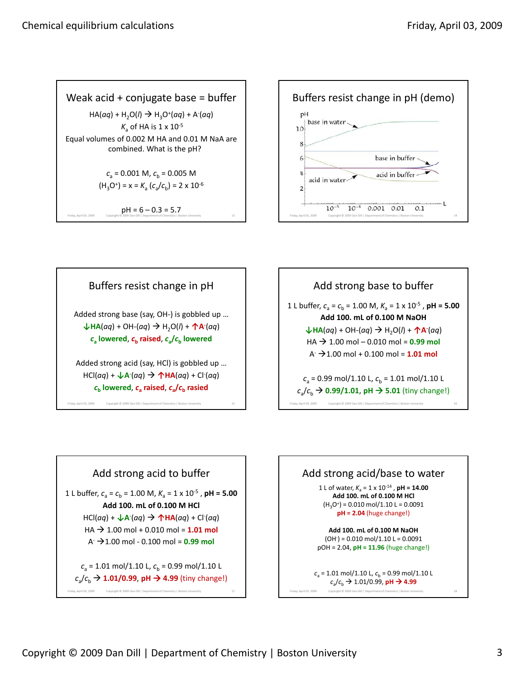









1 L buffer,  $c_a = c_b = 1.00$  M,  $K_a = 1 \times 10^{-5}$ , **pH = 5.00 Add 100. mL of 0.100 M HCl** HCl(*aq*) + **↓A‐** (*aq*) **↑HA**(*aq*) + Cl‐ (*aq*)  $HA$   $\rightarrow$  1.00 mol + 0.010 mol = 1.01 mol  $A \rightarrow 1.00$  mol - 0.100 mol = 0.99 mol

 $c_a = 1.01$  mol/1.10 L,  $c_b = 0.99$  mol/1.10 L  $c_a/c_b$   $\rightarrow$  1.01/0.99, pH  $\rightarrow$  4.99 (tiny change!)

Friday, April 03, 2009 Copyright © 2009 Dan Dill | Department of Chemistry | Boston University 17